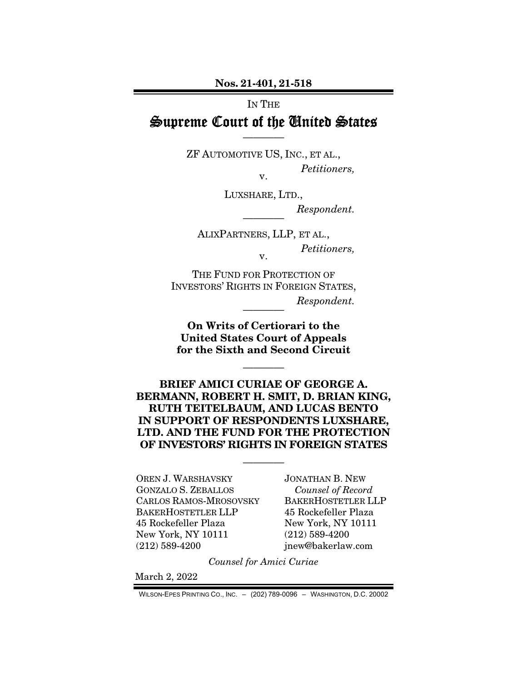Nos. 21-401, 21-518

IN THE

# Supreme Court of the United States ————

ZF AUTOMOTIVE US, INC., ET AL., *Petitioners,*  v.

LUXSHARE, LTD.,

 $Respondent.$ 

ALIXPARTNERS, LLP, ET AL., *Petitioners,*  v.

THE FUND FOR PROTECTION OF INVESTORS' RIGHTS IN FOREIGN STATES,  $Respondent.$ 

On Writs of Certiorari to the United States Court of Appeals for the Sixth and Second Circuit

————

BRIEF AMICI CURIAE OF GEORGE A. BERMANN, ROBERT H. SMIT, D. BRIAN KING, RUTH TEITELBAUM, AND LUCAS BENTO IN SUPPORT OF RESPONDENTS LUXSHARE, LTD. AND THE FUND FOR THE PROTECTION OF INVESTORS' RIGHTS IN FOREIGN STATES

————

OREN J. WARSHAVSKY GONZALO S. ZEBALLOS CARLOS RAMOS-MROSOVSKY BAKERHOSTETLER LLP 45 Rockefeller Plaza New York, NY 10111 (212) 589-4200

JONATHAN B. NEW *Counsel of Record*  BAKERHOSTETLER LLP 45 Rockefeller Plaza New York, NY 10111 (212) 589-4200 jnew@bakerlaw.com

*Counsel for Amici Curiae* 

March 2, 2022

WILSON-EPES PRINTING CO., INC. – (202) 789-0096 – WASHINGTON, D.C. 20002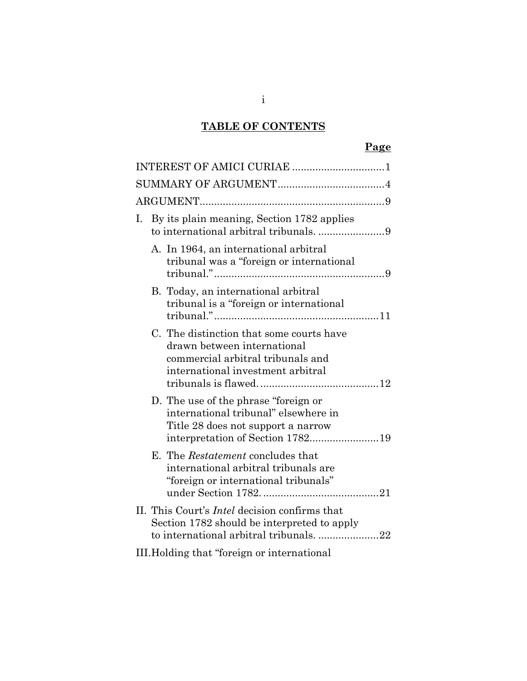# **TABLE OF CONTENTS**

# **Page**

| By its plain meaning, Section 1782 applies<br>Ι.<br>to international arbitral tribunals. 9                                                              |
|---------------------------------------------------------------------------------------------------------------------------------------------------------|
| A. In 1964, an international arbitral<br>tribunal was a "foreign or international                                                                       |
| B. Today, an international arbitral<br>tribunal is a "foreign or international"                                                                         |
| C. The distinction that some courts have<br>drawn between international<br>commercial arbitral tribunals and<br>international investment arbitral       |
| D. The use of the phrase "foreign or"<br>international tribunal" elsewhere in<br>Title 28 does not support a narrow<br>interpretation of Section 178219 |
| E. The <i>Restatement</i> concludes that<br>international arbitral tribunals are<br>"foreign or international tribunals"                                |
| II. This Court's <i>Intel</i> decision confirms that<br>Section 1782 should be interpreted to apply<br>to international arbitral tribunals. 22          |
| III. Holding that "foreign or international                                                                                                             |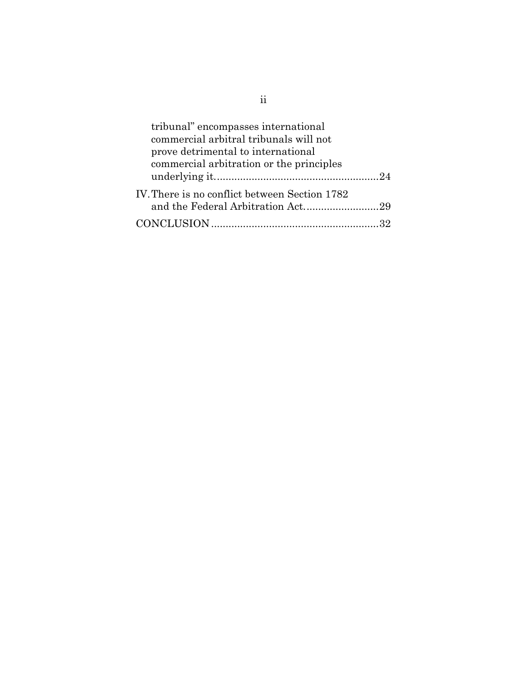| tribunal" encompasses international           |  |
|-----------------------------------------------|--|
| commercial arbitral tribunals will not        |  |
| prove detrimental to international            |  |
| commercial arbitration or the principles      |  |
|                                               |  |
| IV. There is no conflict between Section 1782 |  |
|                                               |  |
|                                               |  |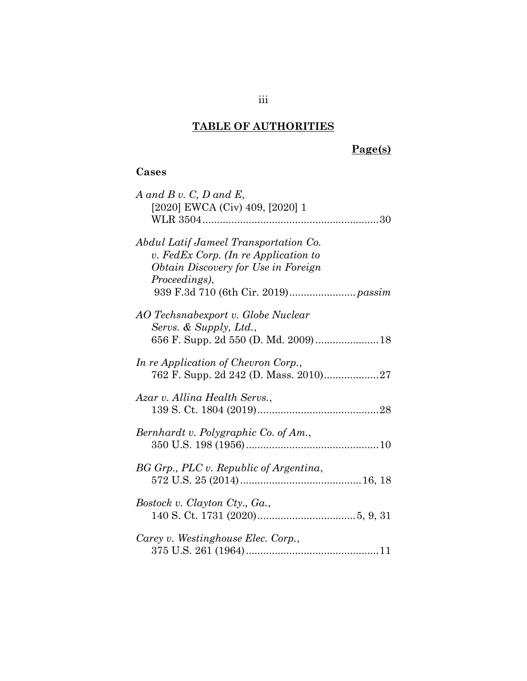## **TABLE OF AUTHORITIES**

# **Page(s)**

## **Cases**

| $A$ and $B$ v. C, D and E,                 |
|--------------------------------------------|
| [2020] EWCA (Civ) 409, [2020] 1            |
|                                            |
|                                            |
| Abdul Latif Jameel Transportation Co.      |
| v. FedEx Corp. (In re Application to       |
| <i>Obtain Discovery for Use in Foreign</i> |
| Proceedings),                              |
|                                            |
|                                            |
| AO Techsnabexport v. Globe Nuclear         |
|                                            |
| Servs. & Supply, Ltd.,                     |
|                                            |
| In re Application of Chevron Corp.,        |
|                                            |
|                                            |
| Azar v. Allina Health Servs.,              |
|                                            |
|                                            |
| Bernhardt v. Polygraphic Co. of Am.,       |
|                                            |
|                                            |
| BG Grp., PLC v. Republic of Argentina,     |
|                                            |
|                                            |
| Bostock v. Clayton Cty., Ga.,              |
|                                            |
|                                            |
| Carey v. Westinghouse Elec. Corp.,         |
|                                            |
|                                            |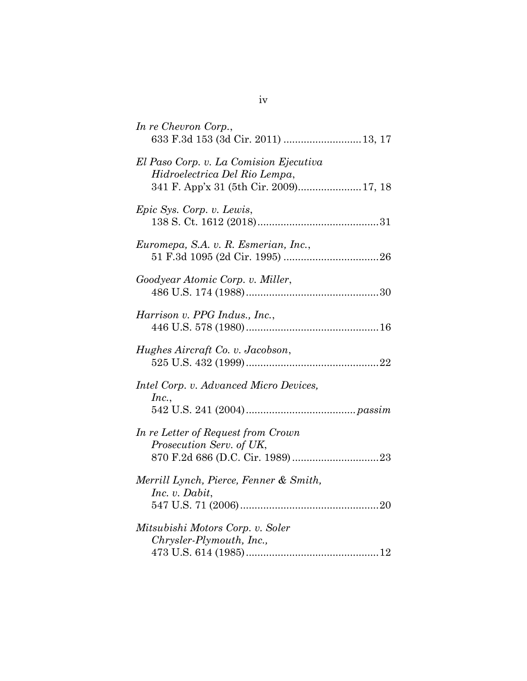| In re Chevron Corp.,<br>633 F.3d 153 (3d Cir. 2011)  13, 17                                                       |
|-------------------------------------------------------------------------------------------------------------------|
| El Paso Corp. v. La Comision Ejecutiva<br>Hidroelectrica Del Rio Lempa,<br>341 F. App'x 31 (5th Cir. 2009) 17, 18 |
| Epic Sys. Corp. v. Lewis,                                                                                         |
| Euromepa, S.A. v. R. Esmerian, Inc.,                                                                              |
| Goodyear Atomic Corp. v. Miller,                                                                                  |
| Harrison v. PPG Indus., Inc.,                                                                                     |
| Hughes Aircraft Co. v. Jacobson,                                                                                  |
| Intel Corp. v. Advanced Micro Devices,<br>Inc.,                                                                   |
| In re Letter of Request from Crown<br>Prosecution Serv. of UK,                                                    |
| Merrill Lynch, Pierce, Fenner & Smith,<br>Inc. v. Dabit,                                                          |
| Mitsubishi Motors Corp. v. Soler<br>Chrysler-Plymouth, Inc.,                                                      |

iv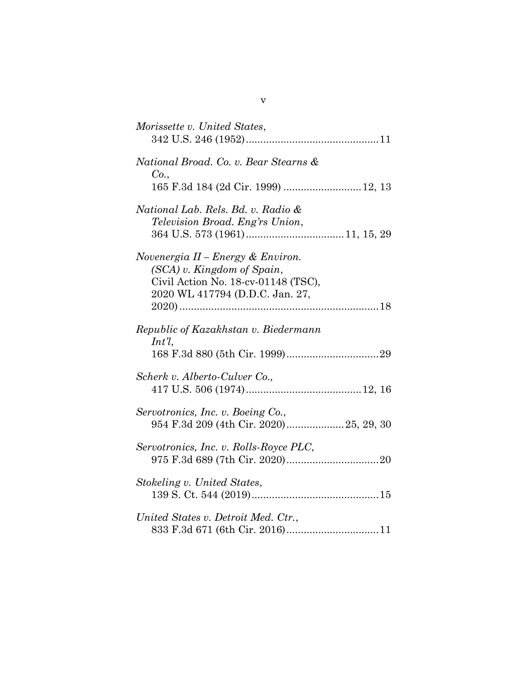| Morissette v. United States,                                                |
|-----------------------------------------------------------------------------|
|                                                                             |
| National Broad. Co. v. Bear Stearns &<br>Co.,                               |
| 165 F.3d 184 (2d Cir. 1999)  12, 13                                         |
| National Lab. Rels. Bd. v. Radio &                                          |
| Television Broad. Eng'rs Union,                                             |
| Novenergia $II$ – Energy & Environ.                                         |
| (SCA) v. Kingdom of Spain,<br>Civil Action No. 18-cv-01148 (TSC),           |
| 2020 WL 417794 (D.D.C. Jan. 27,                                             |
|                                                                             |
| Republic of Kazakhstan v. Biedermann<br>$Int^{\eta}$ ,                      |
|                                                                             |
| Scherk v. Alberto-Culver Co.,                                               |
|                                                                             |
| Servotronics, Inc. v. Boeing Co.,<br>954 F.3d 209 (4th Cir. 2020)25, 29, 30 |
|                                                                             |
| Servotronics, Inc. v. Rolls-Royce PLC,                                      |
| Stokeling v. United States,                                                 |
|                                                                             |
| United States v. Detroit Med. Ctr.,                                         |
|                                                                             |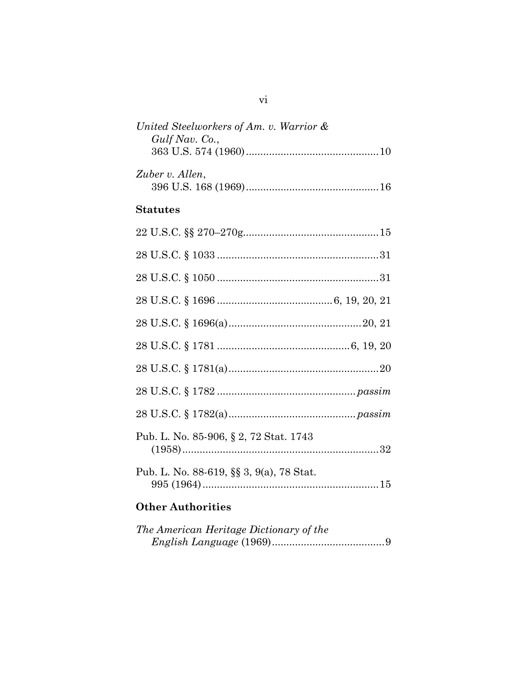| United Steelworkers of Am. v. Warrior $\&$ |  |
|--------------------------------------------|--|
| $Gulf\, Nav.$ Co.,                         |  |
|                                            |  |
|                                            |  |
| Zuber v. Allen,                            |  |
|                                            |  |

### **Statutes**

| Pub. L. No. 85-906, § 2, 72 Stat. 1743   |
|------------------------------------------|
| Pub. L. No. 88-619, §§ 3, 9(a), 78 Stat. |
|                                          |

# **Other Authorities**

| The American Heritage Dictionary of the |  |
|-----------------------------------------|--|
|                                         |  |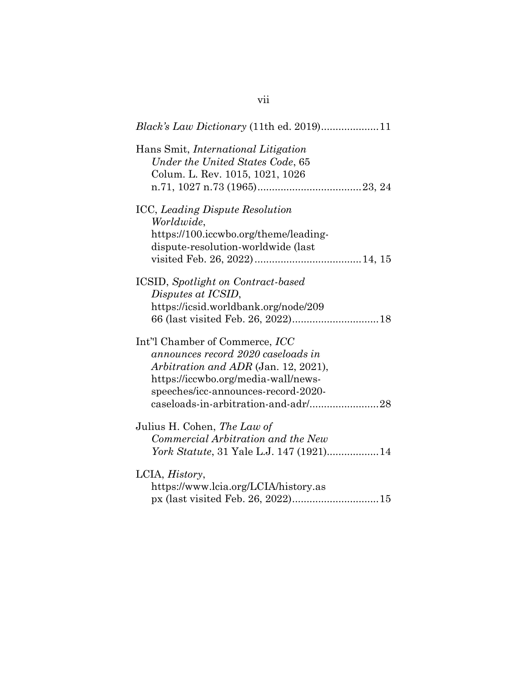| Hans Smit, <i>International Litigation</i><br>Under the United States Code, 65<br>Colum. L. Rev. 1015, 1021, 1026                                                                                                                        |
|------------------------------------------------------------------------------------------------------------------------------------------------------------------------------------------------------------------------------------------|
| <b>ICC, Leading Dispute Resolution</b><br>Worldwide,<br>https://100.iccwbo.org/theme/leading-<br>dispute-resolution-worldwide (last                                                                                                      |
| <b>ICSID</b> , Spotlight on Contract-based<br>Disputes at ICSID,<br>https://icsid.worldbank.org/node/209                                                                                                                                 |
| Int'l Chamber of Commerce, <i>ICC</i><br>announces record 2020 caseloads in<br>Arbitration and ADR (Jan. 12, 2021),<br>https://iccwbo.org/media-wall/news-<br>speeches/icc-announces-record-2020-<br>caseloads-in-arbitration-and-adr/28 |
| Julius H. Cohen, The Law of<br>Commercial Arbitration and the New<br>York Statute, 31 Yale L.J. 147 (1921)14                                                                                                                             |
| LCIA, <i>History</i> ,<br>https://www.lcia.org/LCIA/history.as                                                                                                                                                                           |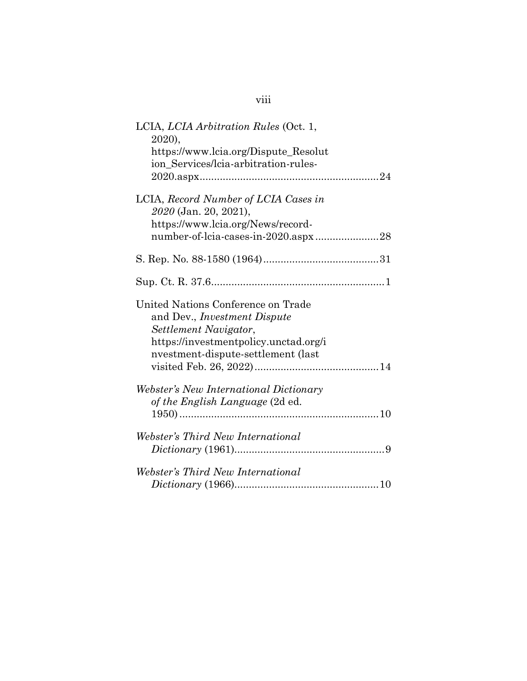| LCIA, <i>LCIA Arbitration Rules</i> (Oct. 1,<br>2020),<br>https://www.lcia.org/Dispute_Resolut<br>ion Services/lcia-arbitration-rules-                                            |
|-----------------------------------------------------------------------------------------------------------------------------------------------------------------------------------|
| LCIA, Record Number of LCIA Cases in<br>2020 (Jan. 20, 2021),<br>https://www.lcia.org/News/record-<br>number-of-lcia-cases-in-2020.aspx28                                         |
|                                                                                                                                                                                   |
|                                                                                                                                                                                   |
| United Nations Conference on Trade<br>and Dev., <i>Investment Dispute</i><br>Settlement Navigator,<br>https://investmentpolicy.unctad.org/i<br>nvestment-dispute-settlement (last |
| <i>Webster's New International Dictionary</i><br>of the English Language (2d ed.                                                                                                  |
| Webster's Third New International                                                                                                                                                 |
| Webster's Third New International                                                                                                                                                 |

viii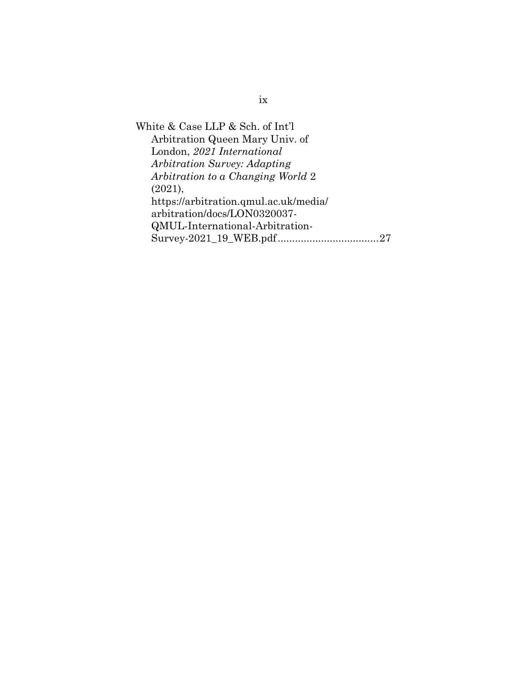White & Case LLP & Sch. of Int'l Arbitration Queen Mary Univ. of London, *2021 International Arbitration Survey: Adapting Arbitration to a Changing World* 2 (2021), https://arbitration.qmul.ac.uk/media/ arbitration/docs/LON0320037- QMUL-International-Arbitration-Survey-2021\_19\_WEB.pdf...................................27

ix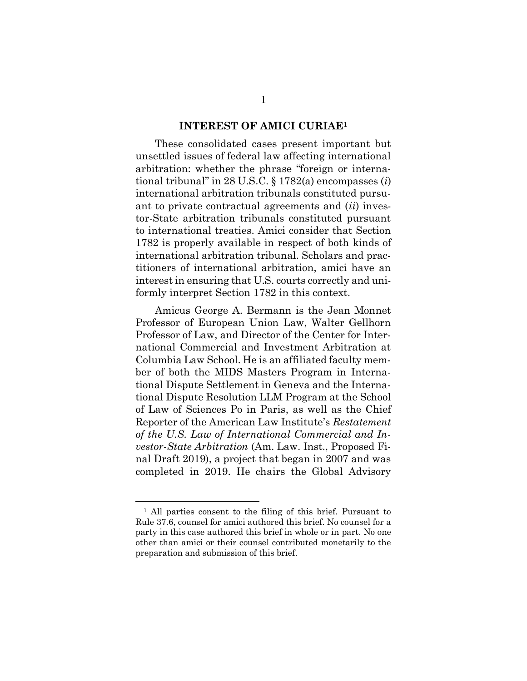#### **INTEREST OF AMICI CURIAE<sup>1</sup>**

These consolidated cases present important but unsettled issues of federal law affecting international arbitration: whether the phrase "foreign or international tribunal" in 28 U.S.C. § 1782(a) encompasses (*i*) international arbitration tribunals constituted pursuant to private contractual agreements and (*ii*) investor-State arbitration tribunals constituted pursuant to international treaties. Amici consider that Section 1782 is properly available in respect of both kinds of international arbitration tribunal. Scholars and practitioners of international arbitration, amici have an interest in ensuring that U.S. courts correctly and uniformly interpret Section 1782 in this context.

Amicus George A. Bermann is the Jean Monnet Professor of European Union Law, Walter Gellhorn Professor of Law, and Director of the Center for International Commercial and Investment Arbitration at Columbia Law School. He is an affiliated faculty member of both the MIDS Masters Program in International Dispute Settlement in Geneva and the International Dispute Resolution LLM Program at the School of Law of Sciences Po in Paris, as well as the Chief Reporter of the American Law Institute's *Restatement of the U.S. Law of International Commercial and Investor-State Arbitration* (Am. Law. Inst., Proposed Final Draft 2019), a project that began in 2007 and was completed in 2019. He chairs the Global Advisory

<sup>1</sup> All parties consent to the filing of this brief. Pursuant to Rule 37.6, counsel for amici authored this brief. No counsel for a party in this case authored this brief in whole or in part. No one other than amici or their counsel contributed monetarily to the preparation and submission of this brief.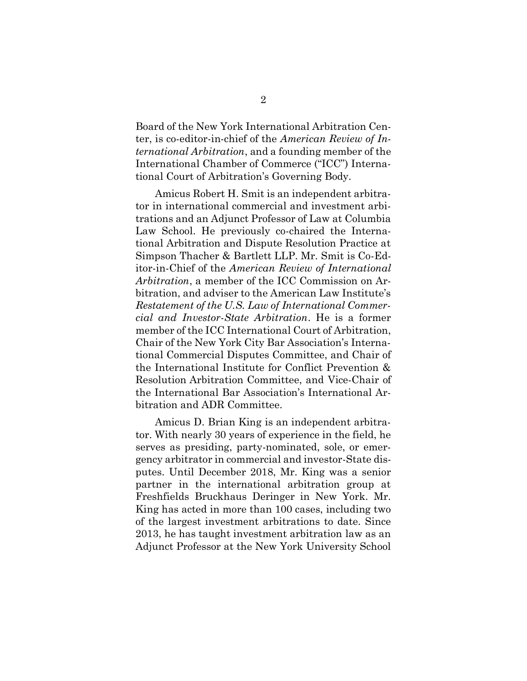Board of the New York International Arbitration Center, is co-editor-in-chief of the *American Review of International Arbitration*, and a founding member of the International Chamber of Commerce ("ICC") International Court of Arbitration's Governing Body.

Amicus Robert H. Smit is an independent arbitrator in international commercial and investment arbitrations and an Adjunct Professor of Law at Columbia Law School. He previously co-chaired the International Arbitration and Dispute Resolution Practice at Simpson Thacher & Bartlett LLP. Mr. Smit is Co-Editor-in-Chief of the *American Review of International Arbitration*, a member of the ICC Commission on Arbitration, and adviser to the American Law Institute's *Restatement of the U.S. Law of International Commercial and Investor-State Arbitration*. He is a former member of the ICC International Court of Arbitration, Chair of the New York City Bar Association's International Commercial Disputes Committee, and Chair of the International Institute for Conflict Prevention & Resolution Arbitration Committee, and Vice-Chair of the International Bar Association's International Arbitration and ADR Committee.

Amicus D. Brian King is an independent arbitrator. With nearly 30 years of experience in the field, he serves as presiding, party-nominated, sole, or emergency arbitrator in commercial and investor-State disputes. Until December 2018, Mr. King was a senior partner in the international arbitration group at Freshfields Bruckhaus Deringer in New York. Mr. King has acted in more than 100 cases, including two of the largest investment arbitrations to date. Since 2013, he has taught investment arbitration law as an Adjunct Professor at the New York University School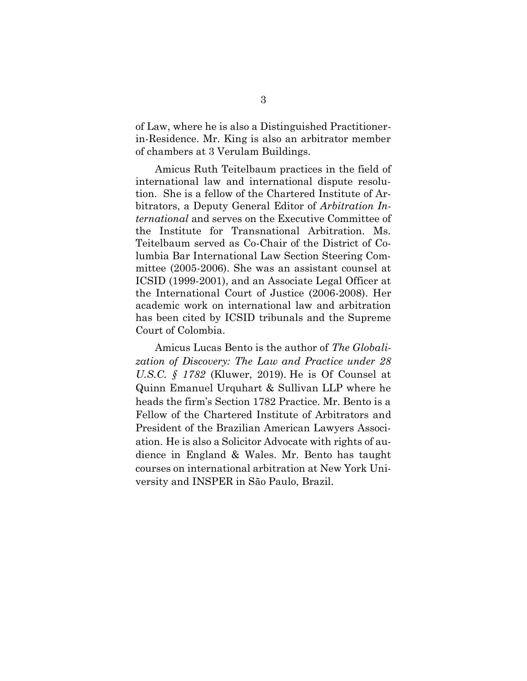of Law, where he is also a Distinguished Practitionerin-Residence. Mr. King is also an arbitrator member of chambers at 3 Verulam Buildings.

Amicus Ruth Teitelbaum practices in the field of international law and international dispute resolution. She is a fellow of the Chartered Institute of Arbitrators, a Deputy General Editor of *Arbitration International* and serves on the Executive Committee of the Institute for Transnational Arbitration. Ms. Teitelbaum served as Co-Chair of the District of Columbia Bar International Law Section Steering Committee (2005-2006). She was an assistant counsel at ICSID (1999-2001), and an Associate Legal Officer at the International Court of Justice (2006-2008). Her academic work on international law and arbitration has been cited by ICSID tribunals and the Supreme Court of Colombia.

Amicus Lucas Bento is the author of *The Globalization of Discovery: The Law and Practice under 28 U.S.C.* § 1782 (Kluwer, 2019). He is Of Counsel at Quinn Emanuel Urquhart & Sullivan LLP where he heads the firm's Section 1782 Practice. Mr. Bento is a Fellow of the Chartered Institute of Arbitrators and President of the Brazilian American Lawyers Association. He is also a Solicitor Advocate with rights of audience in England & Wales. Mr. Bento has taught courses on international arbitration at New York University and INSPER in São Paulo, Brazil.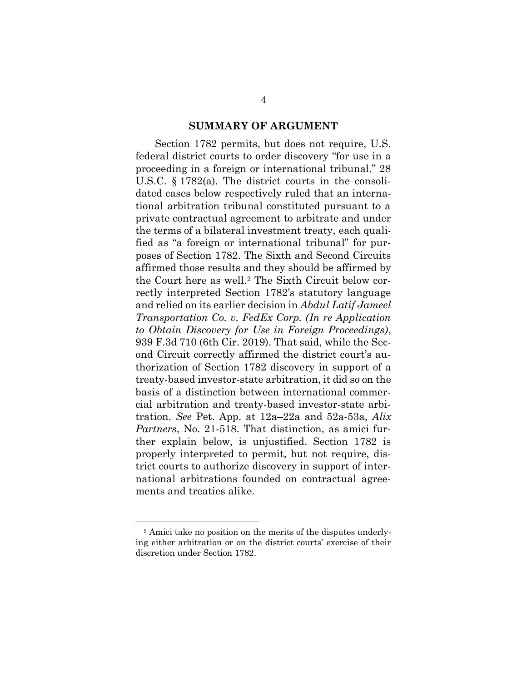#### **SUMMARY OF ARGUMENT**

Section 1782 permits, but does not require, U.S. federal district courts to order discovery "for use in a proceeding in a foreign or international tribunal." 28 U.S.C. § 1782(a). The district courts in the consolidated cases below respectively ruled that an international arbitration tribunal constituted pursuant to a private contractual agreement to arbitrate and under the terms of a bilateral investment treaty, each qualified as "a foreign or international tribunal" for purposes of Section 1782. The Sixth and Second Circuits affirmed those results and they should be affirmed by the Court here as well.<sup>2</sup> The Sixth Circuit below correctly interpreted Section 1782's statutory language and relied on its earlier decision in *Abdul Latif Jameel Transportation Co. v. FedEx Corp. (In re Application to Obtain Discovery for Use in Foreign Proceedings)*, 939 F.3d 710 (6th Cir. 2019). That said, while the Second Circuit correctly affirmed the district court's authorization of Section 1782 discovery in support of a treaty-based investor-state arbitration, it did so on the basis of a distinction between international commercial arbitration and treaty-based investor-state arbitration. *See* Pet. App. at 12a–22a and 52a-53a, *Alix Partners*, No. 21-518. That distinction, as amici further explain below, is unjustified. Section 1782 is properly interpreted to permit, but not require, district courts to authorize discovery in support of international arbitrations founded on contractual agreements and treaties alike.

<sup>2</sup> Amici take no position on the merits of the disputes underlying either arbitration or on the district courts' exercise of their discretion under Section 1782.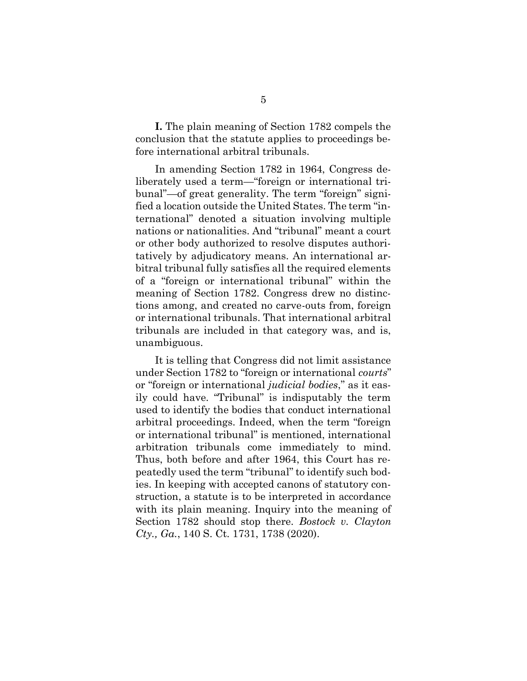**I.** The plain meaning of Section 1782 compels the conclusion that the statute applies to proceedings before international arbitral tribunals.

In amending Section 1782 in 1964, Congress deliberately used a term—"foreign or international tribunal"—of great generality. The term "foreign" signified a location outside the United States. The term "international" denoted a situation involving multiple nations or nationalities. And "tribunal" meant a court or other body authorized to resolve disputes authoritatively by adjudicatory means. An international arbitral tribunal fully satisfies all the required elements of a "foreign or international tribunal" within the meaning of Section 1782. Congress drew no distinctions among, and created no carve-outs from, foreign or international tribunals. That international arbitral tribunals are included in that category was, and is, unambiguous.

It is telling that Congress did not limit assistance under Section 1782 to "foreign or international *courts*" or "foreign or international *judicial bodies*," as it easily could have. "Tribunal" is indisputably the term used to identify the bodies that conduct international arbitral proceedings. Indeed, when the term "foreign or international tribunal" is mentioned, international arbitration tribunals come immediately to mind. Thus, both before and after 1964, this Court has repeatedly used the term "tribunal" to identify such bodies. In keeping with accepted canons of statutory construction, a statute is to be interpreted in accordance with its plain meaning. Inquiry into the meaning of Section 1782 should stop there. *Bostock v. Clayton Cty., Ga.*, 140 S. Ct. 1731, 1738 (2020).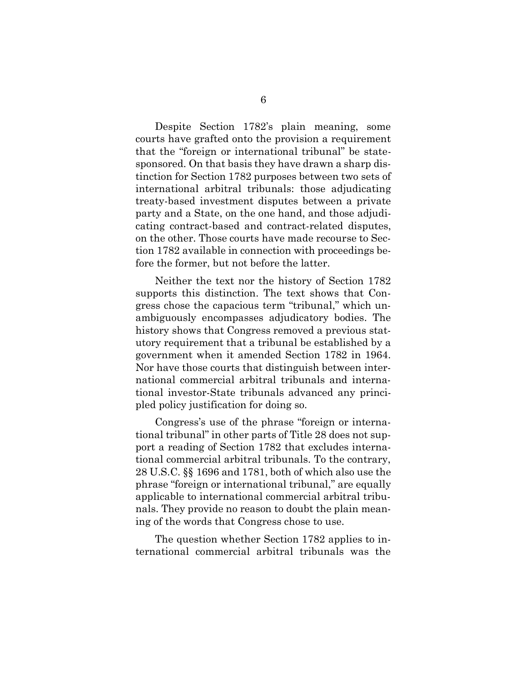Despite Section 1782's plain meaning, some courts have grafted onto the provision a requirement that the "foreign or international tribunal" be statesponsored. On that basis they have drawn a sharp distinction for Section 1782 purposes between two sets of international arbitral tribunals: those adjudicating treaty-based investment disputes between a private party and a State, on the one hand, and those adjudicating contract-based and contract-related disputes, on the other. Those courts have made recourse to Section 1782 available in connection with proceedings before the former, but not before the latter.

Neither the text nor the history of Section 1782 supports this distinction. The text shows that Congress chose the capacious term "tribunal," which unambiguously encompasses adjudicatory bodies. The history shows that Congress removed a previous statutory requirement that a tribunal be established by a government when it amended Section 1782 in 1964. Nor have those courts that distinguish between international commercial arbitral tribunals and international investor-State tribunals advanced any principled policy justification for doing so.

Congress's use of the phrase "foreign or international tribunal" in other parts of Title 28 does not support a reading of Section 1782 that excludes international commercial arbitral tribunals. To the contrary, 28 U.S.C. §§ 1696 and 1781, both of which also use the phrase "foreign or international tribunal," are equally applicable to international commercial arbitral tribunals. They provide no reason to doubt the plain meaning of the words that Congress chose to use.

The question whether Section 1782 applies to international commercial arbitral tribunals was the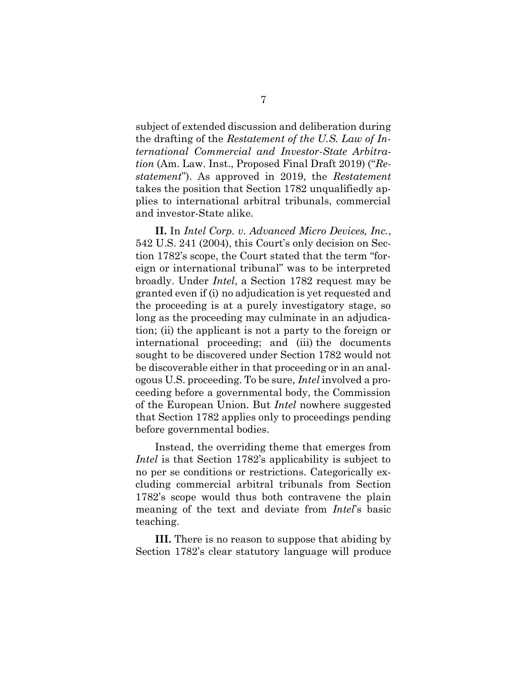subject of extended discussion and deliberation during the drafting of the *Restatement of the U.S. Law of International Commercial and Investor-State Arbitration* (Am. Law. Inst., Proposed Final Draft 2019) ("*Restatement*"). As approved in 2019, the *Restatement* takes the position that Section 1782 unqualifiedly applies to international arbitral tribunals, commercial and investor-State alike.

**II.** In *Intel Corp. v. Advanced Micro Devices, Inc.*, 542 U.S. 241 (2004), this Court's only decision on Section 1782's scope, the Court stated that the term "foreign or international tribunal" was to be interpreted broadly. Under *Intel*, a Section 1782 request may be granted even if (i) no adjudication is yet requested and the proceeding is at a purely investigatory stage, so long as the proceeding may culminate in an adjudication; (ii) the applicant is not a party to the foreign or international proceeding; and (iii) the documents sought to be discovered under Section 1782 would not be discoverable either in that proceeding or in an analogous U.S. proceeding. To be sure, *Intel* involved a proceeding before a governmental body, the Commission of the European Union. But *Intel* nowhere suggested that Section 1782 applies only to proceedings pending before governmental bodies.

Instead, the overriding theme that emerges from *Intel* is that Section 1782's applicability is subject to no per se conditions or restrictions. Categorically excluding commercial arbitral tribunals from Section 1782's scope would thus both contravene the plain meaning of the text and deviate from *Intel*'s basic teaching.

**III.** There is no reason to suppose that abiding by Section 1782's clear statutory language will produce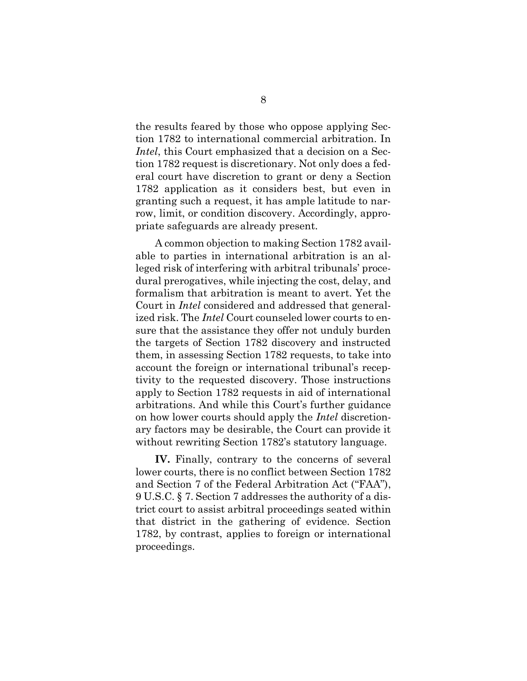the results feared by those who oppose applying Section 1782 to international commercial arbitration. In *Intel*, this Court emphasized that a decision on a Section 1782 request is discretionary. Not only does a federal court have discretion to grant or deny a Section 1782 application as it considers best, but even in granting such a request, it has ample latitude to narrow, limit, or condition discovery. Accordingly, appropriate safeguards are already present.

A common objection to making Section 1782 available to parties in international arbitration is an alleged risk of interfering with arbitral tribunals' procedural prerogatives, while injecting the cost, delay, and formalism that arbitration is meant to avert. Yet the Court in *Intel* considered and addressed that generalized risk. The *Intel* Court counseled lower courts to ensure that the assistance they offer not unduly burden the targets of Section 1782 discovery and instructed them, in assessing Section 1782 requests, to take into account the foreign or international tribunal's receptivity to the requested discovery. Those instructions apply to Section 1782 requests in aid of international arbitrations. And while this Court's further guidance on how lower courts should apply the *Intel* discretionary factors may be desirable, the Court can provide it without rewriting Section 1782's statutory language.

**IV.** Finally, contrary to the concerns of several lower courts, there is no conflict between Section 1782 and Section 7 of the Federal Arbitration Act ("FAA"), 9 U.S.C. § 7. Section 7 addresses the authority of a district court to assist arbitral proceedings seated within that district in the gathering of evidence. Section 1782, by contrast, applies to foreign or international proceedings.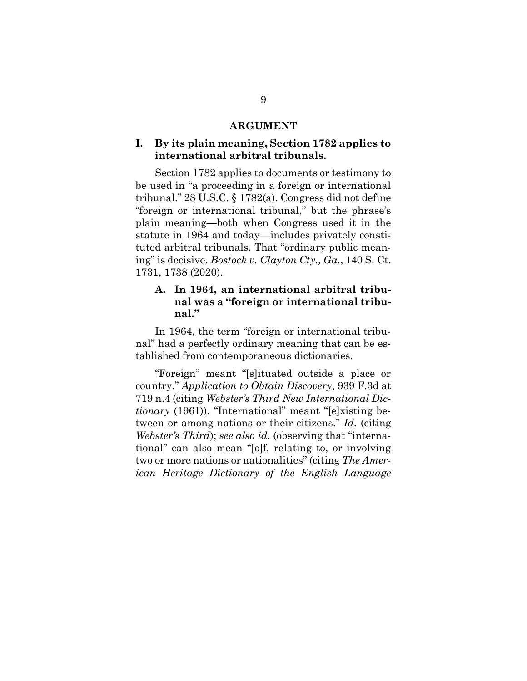#### **ARGUMENT**

#### **I. By its plain meaning, Section 1782 applies to international arbitral tribunals.**

Section 1782 applies to documents or testimony to be used in "a proceeding in a foreign or international tribunal." 28 U.S.C. § 1782(a). Congress did not define "foreign or international tribunal," but the phrase's plain meaning—both when Congress used it in the statute in 1964 and today—includes privately constituted arbitral tribunals. That "ordinary public meaning" is decisive. *Bostock v. Clayton Cty., Ga.*, 140 S. Ct. 1731, 1738 (2020).

### **A. In 1964, an international arbitral tribunal was a "foreign or international tribunal."**

In 1964, the term "foreign or international tribunal" had a perfectly ordinary meaning that can be established from contemporaneous dictionaries.

"Foreign" meant "[s]ituated outside a place or country." *Application to Obtain Discovery*, 939 F.3d at 719 n.4 (citing *Webster's Third New International Dictionary* (1961)). "International" meant "[e]xisting between or among nations or their citizens." *Id.* (citing *Webster's Third*); *see also id.* (observing that "international" can also mean "[o]f, relating to, or involving two or more nations or nationalities" (citing *The American Heritage Dictionary of the English Language*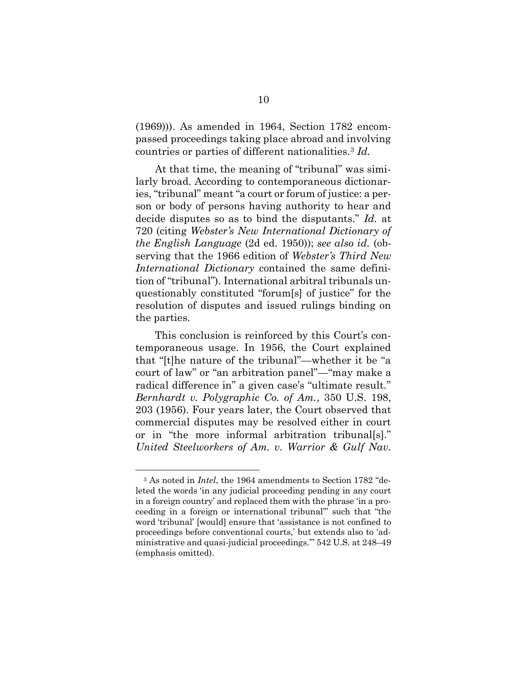(1969))). As amended in 1964, Section 1782 encompassed proceedings taking place abroad and involving countries or parties of different nationalities.<sup>3</sup> *Id.*

At that time, the meaning of "tribunal" was similarly broad. According to contemporaneous dictionaries, "tribunal" meant "a court or forum of justice: a person or body of persons having authority to hear and decide disputes so as to bind the disputants." *Id.* at 720 (citing *Webster's New International Dictionary of the English Language* (2d ed. 1950)); *see also id.* (observing that the 1966 edition of *Webster's Third New International Dictionary* contained the same definition of "tribunal"). International arbitral tribunals unquestionably constituted "forum[s] of justice" for the resolution of disputes and issued rulings binding on the parties.

This conclusion is reinforced by this Court's contemporaneous usage. In 1956, the Court explained that "[t]he nature of the tribunal"—whether it be "a court of law" or "an arbitration panel"—"may make a radical difference in" a given case's "ultimate result." *Bernhardt v. Polygraphic Co. of Am.*, 350 U.S. 198, 203 (1956). Four years later, the Court observed that commercial disputes may be resolved either in court or in "the more informal arbitration tribunal[s]." *United Steelworkers of Am. v. Warrior & Gulf Nav.* 

<sup>3</sup> As noted in *Intel*, the 1964 amendments to Section 1782 "deleted the words 'in any judicial proceeding pending in any court in a foreign country' and replaced them with the phrase 'in a proceeding in a foreign or international tribunal'" such that "the word 'tribunal' [would] ensure that 'assistance is not confined to proceedings before conventional courts,' but extends also to 'administrative and quasi-judicial proceedings.'" 542 U.S. at 248–49 (emphasis omitted).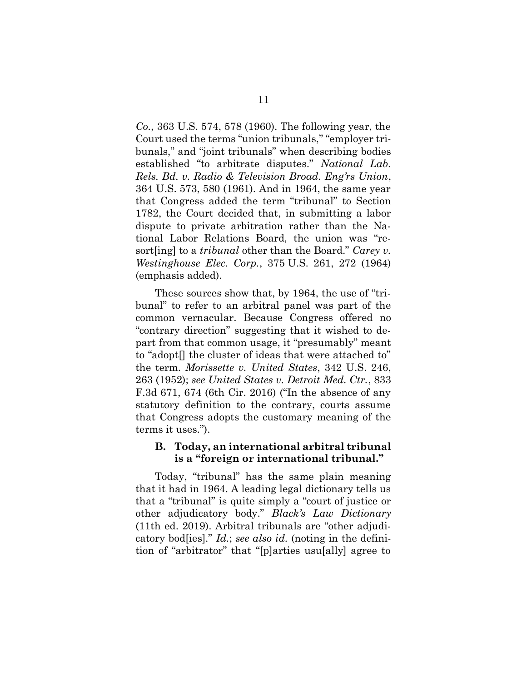*Co.*, 363 U.S. 574, 578 (1960). The following year, the Court used the terms "union tribunals," "employer tribunals," and "joint tribunals" when describing bodies established "to arbitrate disputes." *National Lab. Rels. Bd. v. Radio & Television Broad. Eng'rs Union*, 364 U.S. 573, 580 (1961). And in 1964, the same year that Congress added the term "tribunal" to Section 1782, the Court decided that, in submitting a labor dispute to private arbitration rather than the National Labor Relations Board, the union was "resort[ing] to a *tribunal* other than the Board." *Carey v. Westinghouse Elec. Corp.*, 375 U.S. 261, 272 (1964) (emphasis added).

These sources show that, by 1964, the use of "tribunal" to refer to an arbitral panel was part of the common vernacular. Because Congress offered no "contrary direction" suggesting that it wished to depart from that common usage, it "presumably" meant to "adopt[] the cluster of ideas that were attached to" the term. *Morissette v. United States*, 342 U.S. 246, 263 (1952); *see United States v. Detroit Med. Ctr.*, 833 F.3d 671, 674 (6th Cir. 2016) ("In the absence of any statutory definition to the contrary, courts assume that Congress adopts the customary meaning of the terms it uses.").

#### **B. Today, an international arbitral tribunal is a "foreign or international tribunal."**

Today, "tribunal" has the same plain meaning that it had in 1964. A leading legal dictionary tells us that a "tribunal" is quite simply a "court of justice or other adjudicatory body." *Black's Law Dictionary*  (11th ed. 2019). Arbitral tribunals are "other adjudicatory bod[ies]." *Id.*; *see also id.* (noting in the definition of "arbitrator" that "[p]arties usu[ally] agree to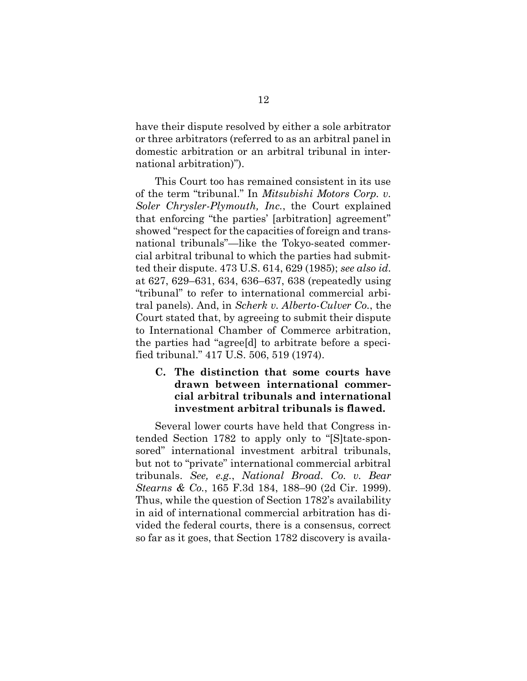have their dispute resolved by either a sole arbitrator or three arbitrators (referred to as an arbitral panel in domestic arbitration or an arbitral tribunal in international arbitration)").

This Court too has remained consistent in its use of the term "tribunal." In *Mitsubishi Motors Corp. v. Soler Chrysler-Plymouth, Inc.*, the Court explained that enforcing "the parties' [arbitration] agreement" showed "respect for the capacities of foreign and transnational tribunals"—like the Tokyo-seated commercial arbitral tribunal to which the parties had submitted their dispute. 473 U.S. 614, 629 (1985); *see also id.* at 627, 629–631, 634, 636–637, 638 (repeatedly using "tribunal" to refer to international commercial arbitral panels). And, in *Scherk v. Alberto-Culver Co.*, the Court stated that, by agreeing to submit their dispute to International Chamber of Commerce arbitration, the parties had "agree[d] to arbitrate before a specified tribunal." 417 U.S. 506, 519 (1974).

### **C. The distinction that some courts have drawn between international commercial arbitral tribunals and international investment arbitral tribunals is flawed.**

Several lower courts have held that Congress intended Section 1782 to apply only to "[S]tate-sponsored" international investment arbitral tribunals, but not to "private" international commercial arbitral tribunals. *See, e.g.*, *National Broad. Co. v. Bear Stearns & Co.*, 165 F.3d 184, 188–90 (2d Cir. 1999). Thus, while the question of Section 1782's availability in aid of international commercial arbitration has divided the federal courts, there is a consensus, correct so far as it goes, that Section 1782 discovery is availa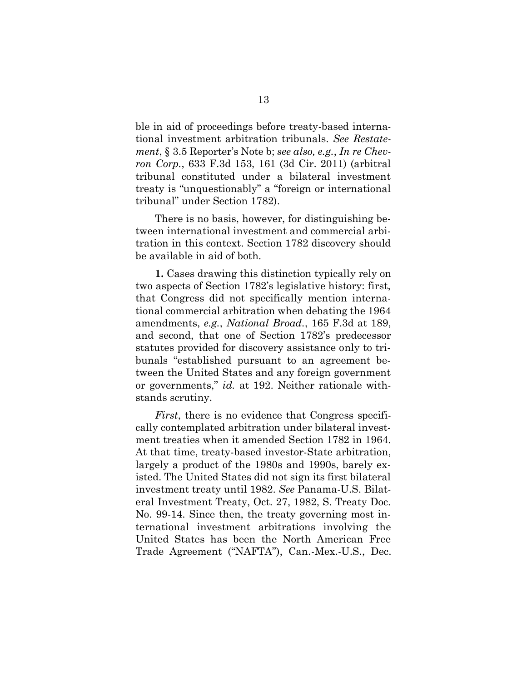ble in aid of proceedings before treaty-based international investment arbitration tribunals. *See Restatement*, § 3.5 Reporter's Note b; *see also, e.g.*, *In re Chevron Corp.*, 633 F.3d 153, 161 (3d Cir. 2011) (arbitral tribunal constituted under a bilateral investment treaty is "unquestionably" a "foreign or international tribunal" under Section 1782).

There is no basis, however, for distinguishing between international investment and commercial arbitration in this context. Section 1782 discovery should be available in aid of both.

**1.** Cases drawing this distinction typically rely on two aspects of Section 1782's legislative history: first, that Congress did not specifically mention international commercial arbitration when debating the 1964 amendments, *e.g.*, *National Broad.*, 165 F.3d at 189, and second, that one of Section 1782's predecessor statutes provided for discovery assistance only to tribunals "established pursuant to an agreement between the United States and any foreign government or governments," *id.* at 192. Neither rationale withstands scrutiny.

*First*, there is no evidence that Congress specifically contemplated arbitration under bilateral investment treaties when it amended Section 1782 in 1964. At that time, treaty-based investor-State arbitration, largely a product of the 1980s and 1990s, barely existed. The United States did not sign its first bilateral investment treaty until 1982. *See* Panama-U.S. Bilateral Investment Treaty, Oct. 27, 1982, S. Treaty Doc. No. 99-14. Since then, the treaty governing most international investment arbitrations involving the United States has been the North American Free Trade Agreement ("NAFTA"), Can.-Mex.-U.S., Dec.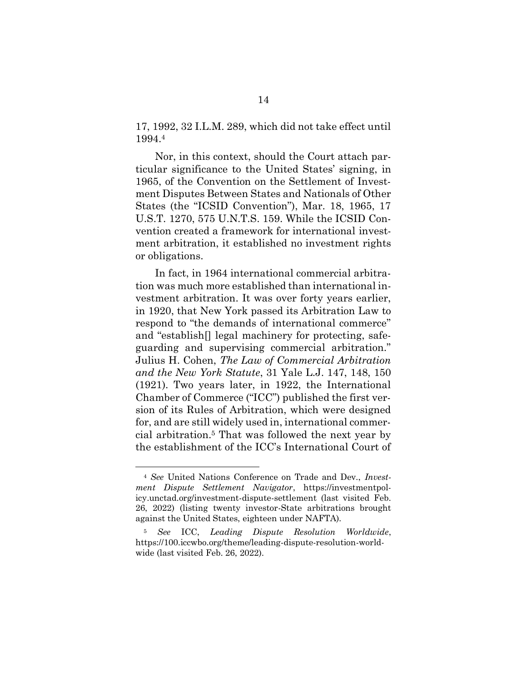17, 1992, 32 I.L.M. 289, which did not take effect until 1994.<sup>4</sup>

Nor, in this context, should the Court attach particular significance to the United States' signing, in 1965, of the Convention on the Settlement of Investment Disputes Between States and Nationals of Other States (the "ICSID Convention"), Mar. 18, 1965, 17 U.S.T. 1270, 575 U.N.T.S. 159. While the ICSID Convention created a framework for international investment arbitration, it established no investment rights or obligations.

In fact, in 1964 international commercial arbitration was much more established than international investment arbitration. It was over forty years earlier, in 1920, that New York passed its Arbitration Law to respond to "the demands of international commerce" and "establish[] legal machinery for protecting, safeguarding and supervising commercial arbitration." Julius H. Cohen, *The Law of Commercial Arbitration and the New York Statute*, 31 Yale L.J. 147, 148, 150 (1921). Two years later, in 1922, the International Chamber of Commerce ("ICC") published the first version of its Rules of Arbitration, which were designed for, and are still widely used in, international commercial arbitration.<sup>5</sup> That was followed the next year by the establishment of the ICC's International Court of

<sup>4</sup> *See* United Nations Conference on Trade and Dev., *Investment Dispute Settlement Navigator*, https://investmentpolicy.unctad.org/investment-dispute-settlement (last visited Feb. 26, 2022) (listing twenty investor-State arbitrations brought against the United States, eighteen under NAFTA).

<sup>5</sup> *See* ICC, *Leading Dispute Resolution Worldwide*, https://100.iccwbo.org/theme/leading-dispute-resolution-worldwide (last visited Feb. 26, 2022).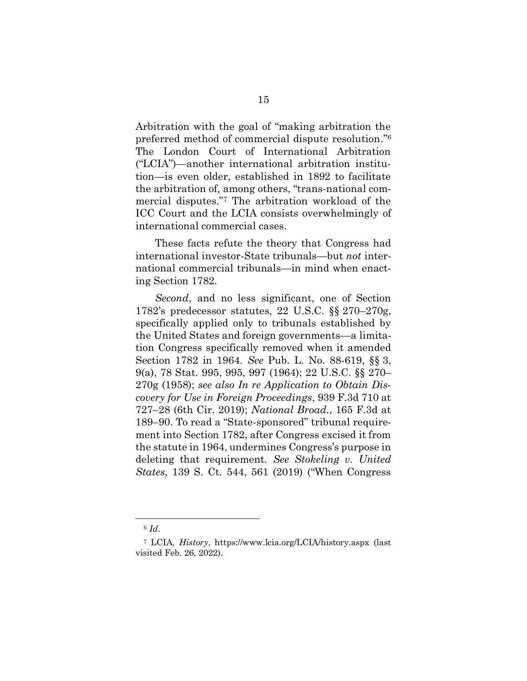Arbitration with the goal of "making arbitration the preferred method of commercial dispute resolution." 6 The London Court of International Arbitration ("LCIA")—another international arbitration institution—is even older, established in 1892 to facilitate the arbitration of*,* among others, "trans-national commercial disputes."<sup>7</sup> The arbitration workload of the ICC Court and the LCIA consists overwhelmingly of international commercial cases.

These facts refute the theory that Congress had international investor-State tribunals—but *not* international commercial tribunals—in mind when enacting Section 1782.

*Second*, and no less significant, one of Section 1782's predecessor statutes, 22 U.S.C. §§ 270–270g, specifically applied only to tribunals established by the United States and foreign governments—a limitation Congress specifically removed when it amended Section 1782 in 1964. *See* Pub. L. No. 88-619, §§ 3, 9(a), 78 Stat. 995, 995, 997 (1964); 22 U.S.C. §§ 270– 270g (1958); *see also In re Application to Obtain Discovery for Use in Foreign Proceedings*, 939 F.3d 710 at 727–28 (6th Cir. 2019); *National Broad.*, 165 F.3d at 189–90. To read a "State-sponsored" tribunal requirement into Section 1782, after Congress excised it from the statute in 1964, undermines Congress's purpose in deleting that requirement. *See Stokeling v. United States*, 139 S. Ct. 544, 561 (2019) ("When Congress

<sup>6</sup> *Id*.

<sup>7</sup> LCIA, *History*, https://www.lcia.org/LCIA/history.aspx (last visited Feb. 26, 2022).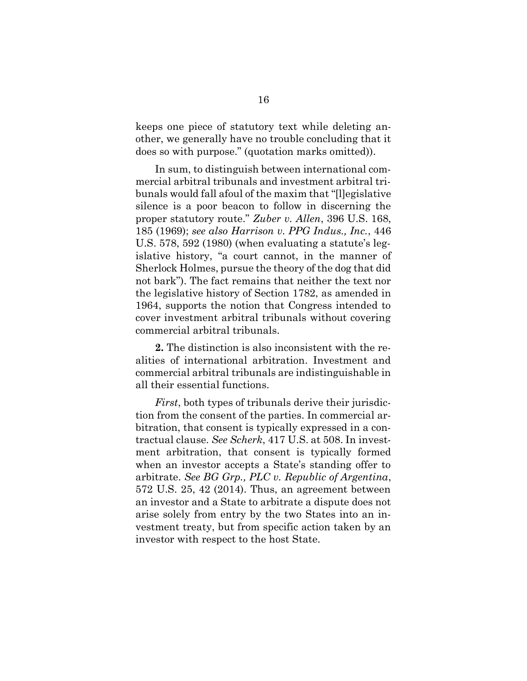keeps one piece of statutory text while deleting another, we generally have no trouble concluding that it does so with purpose." (quotation marks omitted)).

In sum, to distinguish between international commercial arbitral tribunals and investment arbitral tribunals would fall afoul of the maxim that "[l]egislative silence is a poor beacon to follow in discerning the proper statutory route." *Zuber v. Allen*, 396 U.S. 168, 185 (1969); *see also Harrison v. PPG Indus., Inc.*, 446 U.S. 578, 592 (1980) (when evaluating a statute's legislative history, "a court cannot, in the manner of Sherlock Holmes, pursue the theory of the dog that did not bark"). The fact remains that neither the text nor the legislative history of Section 1782, as amended in 1964, supports the notion that Congress intended to cover investment arbitral tribunals without covering commercial arbitral tribunals.

**2.** The distinction is also inconsistent with the realities of international arbitration. Investment and commercial arbitral tribunals are indistinguishable in all their essential functions.

*First*, both types of tribunals derive their jurisdiction from the consent of the parties. In commercial arbitration, that consent is typically expressed in a contractual clause. *See Scherk*, 417 U.S. at 508. In investment arbitration, that consent is typically formed when an investor accepts a State's standing offer to arbitrate. *See BG Grp., PLC v. Republic of Argentina*, 572 U.S. 25, 42 (2014). Thus, an agreement between an investor and a State to arbitrate a dispute does not arise solely from entry by the two States into an investment treaty, but from specific action taken by an investor with respect to the host State.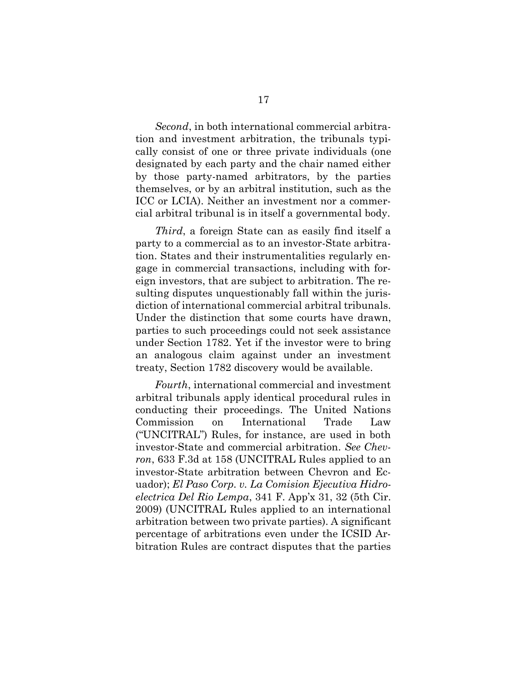*Second*, in both international commercial arbitration and investment arbitration, the tribunals typically consist of one or three private individuals (one designated by each party and the chair named either by those party-named arbitrators, by the parties themselves, or by an arbitral institution, such as the ICC or LCIA). Neither an investment nor a commercial arbitral tribunal is in itself a governmental body.

*Third*, a foreign State can as easily find itself a party to a commercial as to an investor-State arbitration. States and their instrumentalities regularly engage in commercial transactions, including with foreign investors, that are subject to arbitration. The resulting disputes unquestionably fall within the jurisdiction of international commercial arbitral tribunals. Under the distinction that some courts have drawn, parties to such proceedings could not seek assistance under Section 1782. Yet if the investor were to bring an analogous claim against under an investment treaty, Section 1782 discovery would be available.

*Fourth*, international commercial and investment arbitral tribunals apply identical procedural rules in conducting their proceedings. The United Nations Commission on International Trade Law ("UNCITRAL") Rules, for instance, are used in both investor-State and commercial arbitration. *See Chevron*, 633 F.3d at 158 (UNCITRAL Rules applied to an investor-State arbitration between Chevron and Ecuador); *El Paso Corp. v. La Comision Ejecutiva Hidroelectrica Del Rio Lempa*, 341 F. App'x 31, 32 (5th Cir. 2009) (UNCITRAL Rules applied to an international arbitration between two private parties). A significant percentage of arbitrations even under the ICSID Arbitration Rules are contract disputes that the parties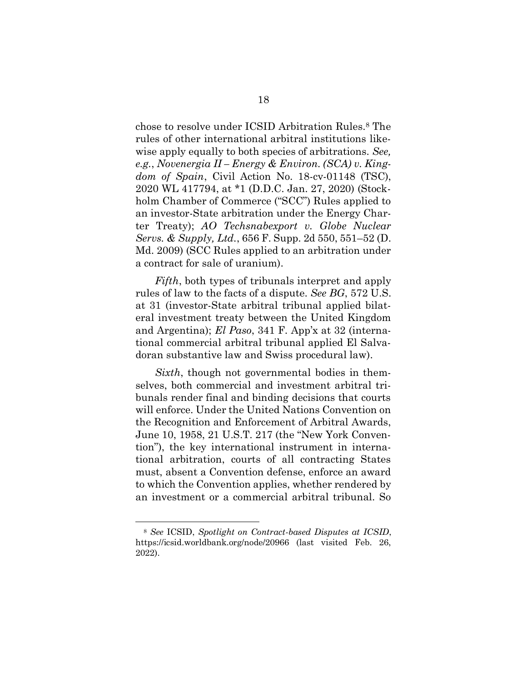chose to resolve under ICSID Arbitration Rules.<sup>8</sup> The rules of other international arbitral institutions likewise apply equally to both species of arbitrations. *See, e.g.*, *Novenergia II – Energy & Environ. (SCA) v. Kingdom of Spain*, Civil Action No. 18-cv-01148 (TSC), 2020 WL 417794, at \*1 (D.D.C. Jan. 27, 2020) (Stockholm Chamber of Commerce ("SCC") Rules applied to an investor-State arbitration under the Energy Charter Treaty); *AO Techsnabexport v. Globe Nuclear Servs. & Supply, Ltd.*, 656 F. Supp. 2d 550, 551–52 (D. Md. 2009) (SCC Rules applied to an arbitration under a contract for sale of uranium).

*Fifth*, both types of tribunals interpret and apply rules of law to the facts of a dispute. *See BG*, 572 U.S. at 31 (investor-State arbitral tribunal applied bilateral investment treaty between the United Kingdom and Argentina); *El Paso*, 341 F. App'x at 32 (international commercial arbitral tribunal applied El Salvadoran substantive law and Swiss procedural law).

*Sixth*, though not governmental bodies in themselves, both commercial and investment arbitral tribunals render final and binding decisions that courts will enforce. Under the United Nations Convention on the Recognition and Enforcement of Arbitral Awards, June 10, 1958, 21 U.S.T. 217 (the "New York Convention"), the key international instrument in international arbitration, courts of all contracting States must, absent a Convention defense, enforce an award to which the Convention applies, whether rendered by an investment or a commercial arbitral tribunal. So

<sup>8</sup> *See* ICSID, *Spotlight on Contract-based Disputes at ICSID*, https://icsid.worldbank.org/node/20966 (last visited Feb. 26, 2022).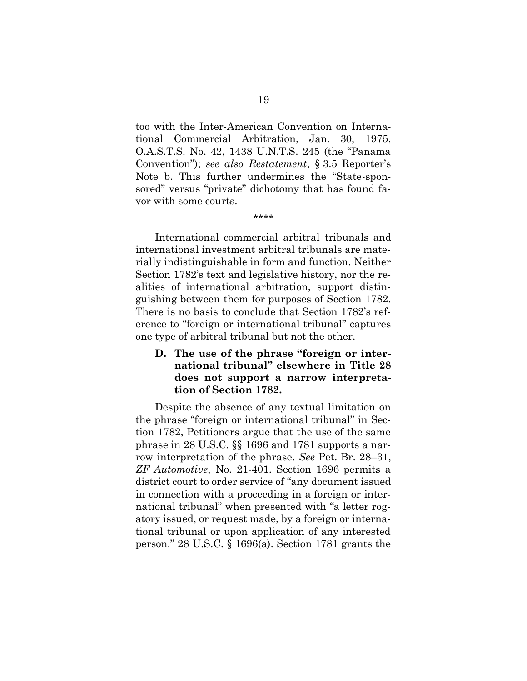too with the Inter-American Convention on International Commercial Arbitration, Jan. 30, 1975, O.A.S.T.S. No. 42, 1438 U.N.T.S. 245 (the "Panama Convention"); *see also Restatement*, § 3.5 Reporter's Note b. This further undermines the "State-sponsored" versus "private" dichotomy that has found favor with some courts.

International commercial arbitral tribunals and international investment arbitral tribunals are materially indistinguishable in form and function. Neither Section 1782's text and legislative history, nor the realities of international arbitration, support distinguishing between them for purposes of Section 1782. There is no basis to conclude that Section 1782's reference to "foreign or international tribunal" captures one type of arbitral tribunal but not the other.

### **D. The use of the phrase "foreign or international tribunal" elsewhere in Title 28 does not support a narrow interpretation of Section 1782.**

Despite the absence of any textual limitation on the phrase "foreign or international tribunal" in Section 1782, Petitioners argue that the use of the same phrase in 28 U.S.C. §§ 1696 and 1781 supports a narrow interpretation of the phrase. *See* Pet. Br. 28–31, *ZF Automotive*, No. 21-401. Section 1696 permits a district court to order service of "any document issued in connection with a proceeding in a foreign or international tribunal" when presented with "a letter rogatory issued, or request made, by a foreign or international tribunal or upon application of any interested person." 28 U.S.C. § 1696(a). Section 1781 grants the

<sup>\*\*\*\*</sup>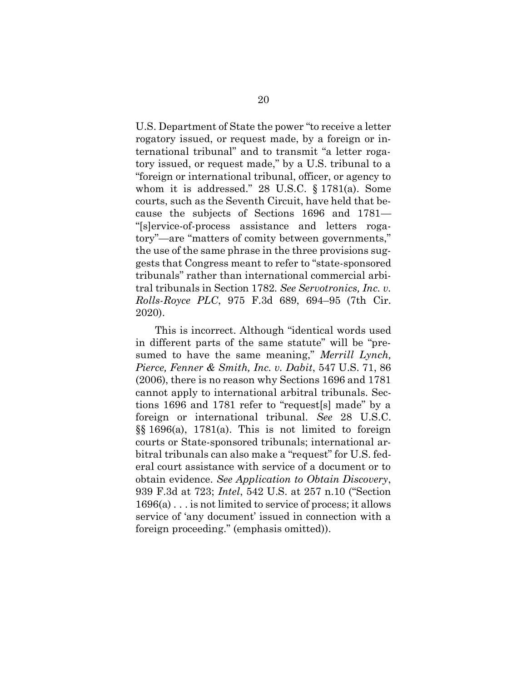U.S. Department of State the power "to receive a letter rogatory issued, or request made, by a foreign or international tribunal" and to transmit "a letter rogatory issued, or request made," by a U.S. tribunal to a "foreign or international tribunal, officer, or agency to whom it is addressed." 28 U.S.C. § 1781(a). Some courts, such as the Seventh Circuit, have held that because the subjects of Sections 1696 and 1781— "[s]ervice-of-process assistance and letters rogatory"—are "matters of comity between governments," the use of the same phrase in the three provisions suggests that Congress meant to refer to "state-sponsored tribunals" rather than international commercial arbitral tribunals in Section 1782. *See Servotronics, Inc. v. Rolls-Royce PLC*, 975 F.3d 689, 694–95 (7th Cir. 2020).

This is incorrect. Although "identical words used in different parts of the same statute" will be "presumed to have the same meaning," *Merrill Lynch, Pierce, Fenner & Smith, Inc. v. Dabit*, 547 U.S. 71, 86 (2006), there is no reason why Sections 1696 and 1781 cannot apply to international arbitral tribunals. Sections 1696 and 1781 refer to "request[s] made" by a foreign or international tribunal. *See* 28 U.S.C. §§ 1696(a), 1781(a). This is not limited to foreign courts or State-sponsored tribunals; international arbitral tribunals can also make a "request" for U.S. federal court assistance with service of a document or to obtain evidence. *See Application to Obtain Discovery*, 939 F.3d at 723; *Intel*, 542 U.S. at 257 n.10 ("Section 1696(a) . . . is not limited to service of process; it allows service of 'any document' issued in connection with a foreign proceeding." (emphasis omitted)).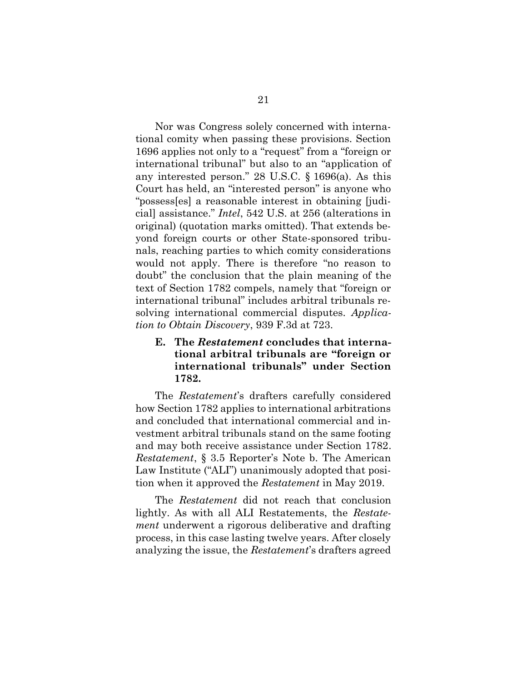Nor was Congress solely concerned with international comity when passing these provisions. Section 1696 applies not only to a "request" from a "foreign or international tribunal" but also to an "application of any interested person." 28 U.S.C. § 1696(a). As this Court has held, an "interested person" is anyone who "possess[es] a reasonable interest in obtaining [judicial] assistance." *Intel*, 542 U.S. at 256 (alterations in original) (quotation marks omitted). That extends beyond foreign courts or other State-sponsored tribunals, reaching parties to which comity considerations would not apply. There is therefore "no reason to doubt" the conclusion that the plain meaning of the text of Section 1782 compels, namely that "foreign or international tribunal" includes arbitral tribunals resolving international commercial disputes. *Application to Obtain Discovery*, 939 F.3d at 723.

### **E. The** *Restatement* **concludes that international arbitral tribunals are "foreign or international tribunals" under Section 1782.**

The *Restatement*'s drafters carefully considered how Section 1782 applies to international arbitrations and concluded that international commercial and investment arbitral tribunals stand on the same footing and may both receive assistance under Section 1782. *Restatement*, § 3.5 Reporter's Note b. The American Law Institute ("ALI") unanimously adopted that position when it approved the *Restatement* in May 2019.

The *Restatement* did not reach that conclusion lightly. As with all ALI Restatements, the *Restatement* underwent a rigorous deliberative and drafting process, in this case lasting twelve years. After closely analyzing the issue, the *Restatement*'s drafters agreed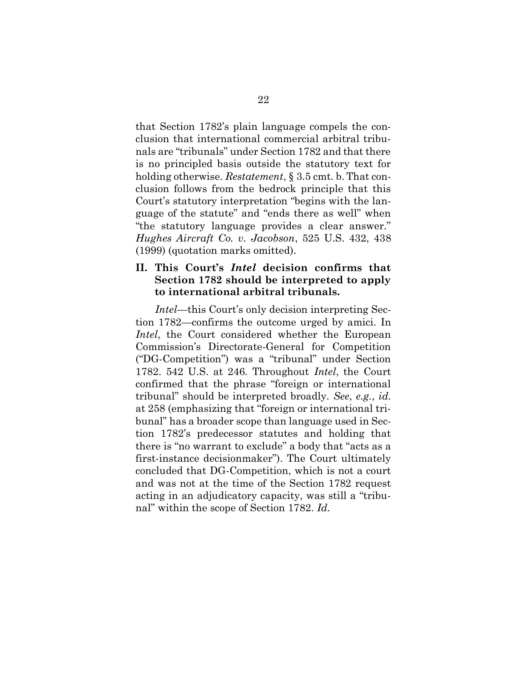that Section 1782's plain language compels the conclusion that international commercial arbitral tribunals are "tribunals" under Section 1782 and that there is no principled basis outside the statutory text for holding otherwise. *Restatement*, § 3.5 cmt. b. That conclusion follows from the bedrock principle that this Court's statutory interpretation "begins with the language of the statute" and "ends there as well" when "the statutory language provides a clear answer." *Hughes Aircraft Co. v. Jacobson*, 525 U.S. 432, 438 (1999) (quotation marks omitted).

#### **II. This Court's** *Intel* **decision confirms that Section 1782 should be interpreted to apply to international arbitral tribunals.**

*Intel*—this Court's only decision interpreting Section 1782—confirms the outcome urged by amici. In *Intel*, the Court considered whether the European Commission's Directorate-General for Competition ("DG-Competition") was a "tribunal" under Section 1782. 542 U.S. at 246. Throughout *Intel*, the Court confirmed that the phrase "foreign or international tribunal" should be interpreted broadly. *See*, *e.g.*, *id.* at 258 (emphasizing that "foreign or international tribunal" has a broader scope than language used in Section 1782's predecessor statutes and holding that there is "no warrant to exclude" a body that "acts as a first-instance decisionmaker"). The Court ultimately concluded that DG-Competition, which is not a court and was not at the time of the Section 1782 request acting in an adjudicatory capacity, was still a "tribunal" within the scope of Section 1782. *Id.*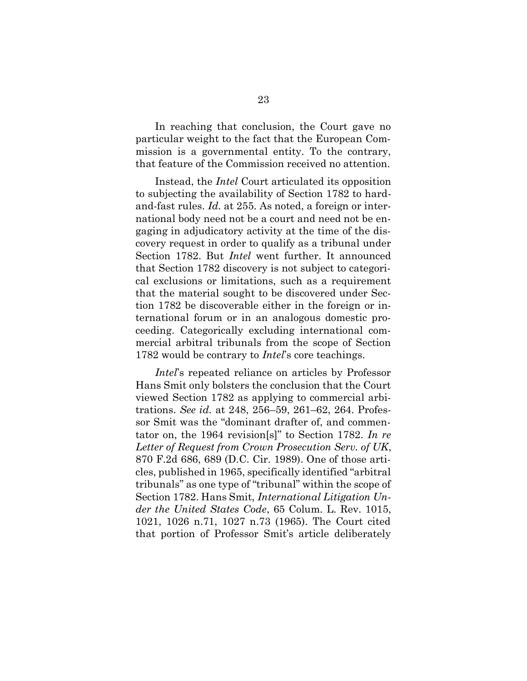In reaching that conclusion, the Court gave no particular weight to the fact that the European Commission is a governmental entity. To the contrary, that feature of the Commission received no attention.

Instead, the *Intel* Court articulated its opposition to subjecting the availability of Section 1782 to hardand-fast rules. *Id.* at 255. As noted, a foreign or international body need not be a court and need not be engaging in adjudicatory activity at the time of the discovery request in order to qualify as a tribunal under Section 1782. But *Intel* went further. It announced that Section 1782 discovery is not subject to categorical exclusions or limitations, such as a requirement that the material sought to be discovered under Section 1782 be discoverable either in the foreign or international forum or in an analogous domestic proceeding. Categorically excluding international commercial arbitral tribunals from the scope of Section 1782 would be contrary to *Intel*'s core teachings.

*Intel*'s repeated reliance on articles by Professor Hans Smit only bolsters the conclusion that the Court viewed Section 1782 as applying to commercial arbitrations. *See id.* at 248, 256–59, 261–62, 264. Professor Smit was the "dominant drafter of, and commentator on, the 1964 revision[s]" to Section 1782. *In re Letter of Request from Crown Prosecution Serv. of UK*, 870 F.2d 686, 689 (D.C. Cir. 1989). One of those articles, published in 1965, specifically identified "arbitral tribunals" as one type of "tribunal" within the scope of Section 1782. Hans Smit, *International Litigation Under the United States Code*, 65 Colum. L. Rev. 1015, 1021, 1026 n.71, 1027 n.73 (1965). The Court cited that portion of Professor Smit's article deliberately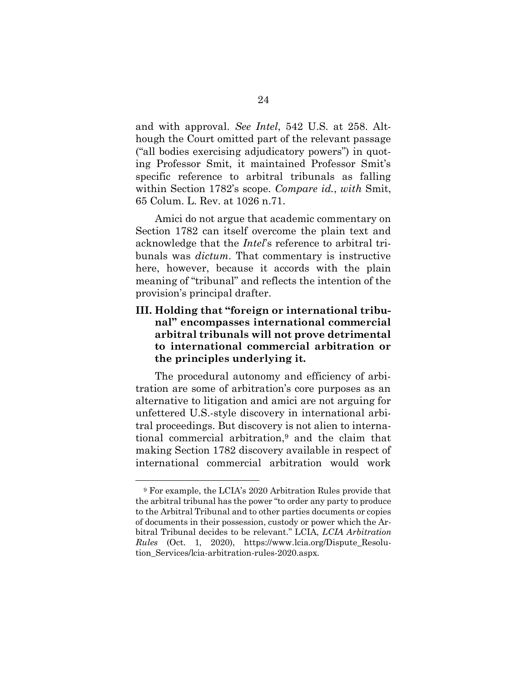and with approval. *See Intel*, 542 U.S. at 258. Although the Court omitted part of the relevant passage ("all bodies exercising adjudicatory powers") in quoting Professor Smit, it maintained Professor Smit's specific reference to arbitral tribunals as falling within Section 1782's scope. *Compare id.*, *with* Smit, 65 Colum. L. Rev. at 1026 n.71.

Amici do not argue that academic commentary on Section 1782 can itself overcome the plain text and acknowledge that the *Intel*'s reference to arbitral tribunals was *dictum*. That commentary is instructive here, however, because it accords with the plain meaning of "tribunal" and reflects the intention of the provision's principal drafter.

### **III. Holding that "foreign or international tribunal" encompasses international commercial arbitral tribunals will not prove detrimental to international commercial arbitration or the principles underlying it.**

The procedural autonomy and efficiency of arbitration are some of arbitration's core purposes as an alternative to litigation and amici are not arguing for unfettered U.S.-style discovery in international arbitral proceedings. But discovery is not alien to international commercial arbitration,<sup>9</sup> and the claim that making Section 1782 discovery available in respect of international commercial arbitration would work

<sup>9</sup> For example, the LCIA's 2020 Arbitration Rules provide that the arbitral tribunal has the power "to order any party to produce to the Arbitral Tribunal and to other parties documents or copies of documents in their possession, custody or power which the Arbitral Tribunal decides to be relevant." LCIA, *LCIA Arbitration Rules* (Oct. 1, 2020), https://www.lcia.org/Dispute\_Resolution\_Services/lcia-arbitration-rules-2020.aspx.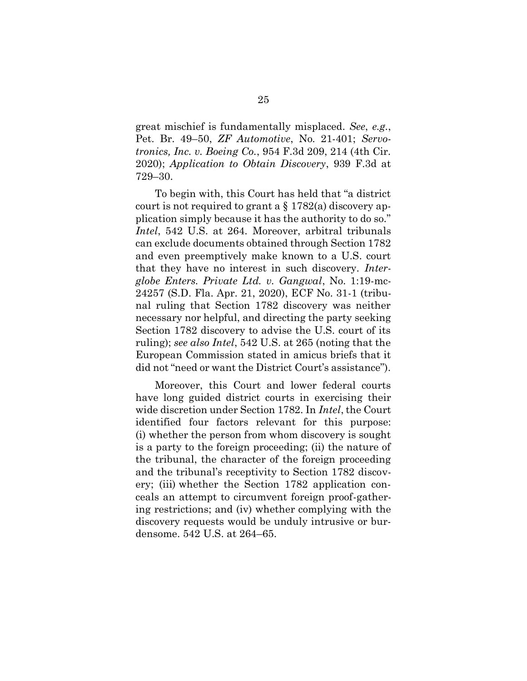great mischief is fundamentally misplaced. *See*, *e.g.*, Pet. Br. 49–50, *ZF Automotive*, No. 21-401; *Servotronics, Inc. v. Boeing Co.*, 954 F.3d 209, 214 (4th Cir. 2020); *Application to Obtain Discovery*, 939 F.3d at 729–30.

To begin with, this Court has held that "a district court is not required to grant a § 1782(a) discovery application simply because it has the authority to do so." *Intel*, 542 U.S. at 264. Moreover, arbitral tribunals can exclude documents obtained through Section 1782 and even preemptively make known to a U.S. court that they have no interest in such discovery. *Interglobe Enters. Private Ltd. v. Gangwal*, No. 1:19-mc-24257 (S.D. Fla. Apr. 21, 2020), ECF No. 31-1 (tribunal ruling that Section 1782 discovery was neither necessary nor helpful, and directing the party seeking Section 1782 discovery to advise the U.S. court of its ruling); *see also Intel*, 542 U.S. at 265 (noting that the European Commission stated in amicus briefs that it did not "need or want the District Court's assistance").

Moreover, this Court and lower federal courts have long guided district courts in exercising their wide discretion under Section 1782. In *Intel*, the Court identified four factors relevant for this purpose: (i) whether the person from whom discovery is sought is a party to the foreign proceeding; (ii) the nature of the tribunal, the character of the foreign proceeding and the tribunal's receptivity to Section 1782 discovery; (iii) whether the Section 1782 application conceals an attempt to circumvent foreign proof-gathering restrictions; and (iv) whether complying with the discovery requests would be unduly intrusive or burdensome. 542 U.S. at 264–65.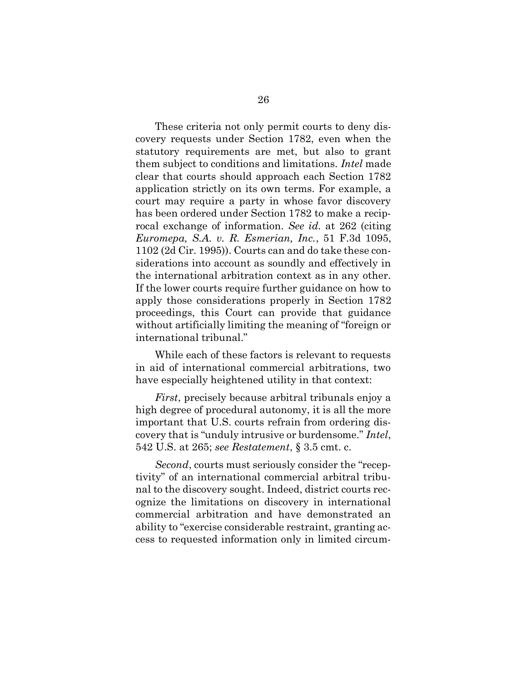These criteria not only permit courts to deny discovery requests under Section 1782, even when the statutory requirements are met, but also to grant them subject to conditions and limitations. *Intel* made clear that courts should approach each Section 1782 application strictly on its own terms. For example, a court may require a party in whose favor discovery has been ordered under Section 1782 to make a reciprocal exchange of information. *See id.* at 262 (citing *Euromepa, S.A. v. R. Esmerian, Inc.*, 51 F.3d 1095, 1102 (2d Cir. 1995)). Courts can and do take these considerations into account as soundly and effectively in the international arbitration context as in any other. If the lower courts require further guidance on how to apply those considerations properly in Section 1782 proceedings, this Court can provide that guidance without artificially limiting the meaning of "foreign or international tribunal."

While each of these factors is relevant to requests in aid of international commercial arbitrations, two have especially heightened utility in that context:

*First*, precisely because arbitral tribunals enjoy a high degree of procedural autonomy, it is all the more important that U.S. courts refrain from ordering discovery that is "unduly intrusive or burdensome." *Intel*, 542 U.S. at 265; *see Restatement*, § 3.5 cmt. c.

*Second*, courts must seriously consider the "receptivity" of an international commercial arbitral tribunal to the discovery sought. Indeed, district courts recognize the limitations on discovery in international commercial arbitration and have demonstrated an ability to "exercise considerable restraint, granting access to requested information only in limited circum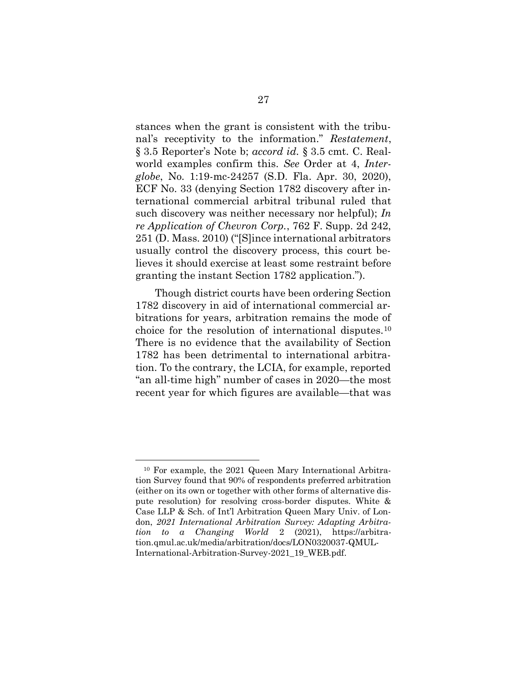stances when the grant is consistent with the tribunal's receptivity to the information." *Restatement*, § 3.5 Reporter's Note b; *accord id.* § 3.5 cmt. C. Realworld examples confirm this. *See* Order at 4, *Interglobe*, No. 1:19-mc-24257 (S.D. Fla. Apr. 30, 2020), ECF No. 33 (denying Section 1782 discovery after international commercial arbitral tribunal ruled that such discovery was neither necessary nor helpful); *In re Application of Chevron Corp.*, 762 F. Supp. 2d 242, 251 (D. Mass. 2010) ("[S]ince international arbitrators usually control the discovery process, this court believes it should exercise at least some restraint before granting the instant Section 1782 application.").

Though district courts have been ordering Section 1782 discovery in aid of international commercial arbitrations for years, arbitration remains the mode of choice for the resolution of international disputes.<sup>10</sup> There is no evidence that the availability of Section 1782 has been detrimental to international arbitration. To the contrary, the LCIA, for example, reported "an all-time high" number of cases in 2020—the most recent year for which figures are available—that was

<sup>10</sup> For example, the 2021 Queen Mary International Arbitration Survey found that 90% of respondents preferred arbitration (either on its own or together with other forms of alternative dispute resolution) for resolving cross-border disputes. White & Case LLP & Sch. of Int'l Arbitration Queen Mary Univ. of London, *2021 International Arbitration Survey: Adapting Arbitration to a Changing World* 2 (2021), https://arbitration.qmul.ac.uk/media/arbitration/docs/LON0320037-QMUL-International-Arbitration-Survey-2021\_19\_WEB.pdf.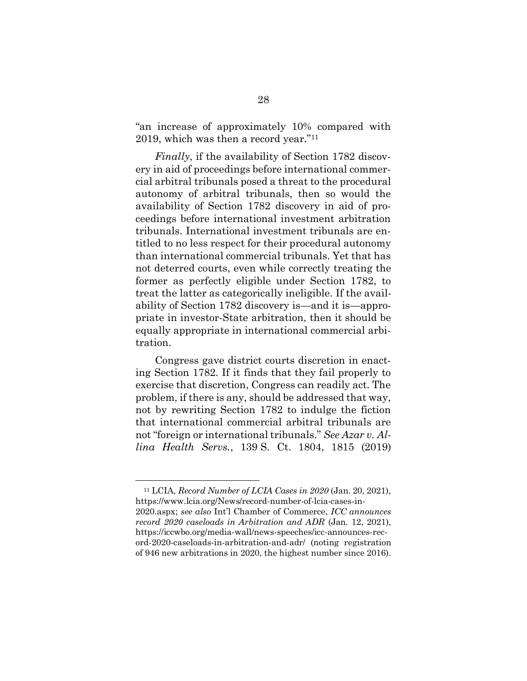"an increase of approximately 10% compared with 2019, which was then a record year."<sup>11</sup>

*Finally*, if the availability of Section 1782 discovery in aid of proceedings before international commercial arbitral tribunals posed a threat to the procedural autonomy of arbitral tribunals, then so would the availability of Section 1782 discovery in aid of proceedings before international investment arbitration tribunals. International investment tribunals are entitled to no less respect for their procedural autonomy than international commercial tribunals. Yet that has not deterred courts, even while correctly treating the former as perfectly eligible under Section 1782, to treat the latter as categorically ineligible. If the availability of Section 1782 discovery is—and it is—appropriate in investor-State arbitration, then it should be equally appropriate in international commercial arbitration.

Congress gave district courts discretion in enacting Section 1782. If it finds that they fail properly to exercise that discretion, Congress can readily act. The problem, if there is any, should be addressed that way, not by rewriting Section 1782 to indulge the fiction that international commercial arbitral tribunals are not "foreign or international tribunals." *See Azar v. Allina Health Servs.*, 139 S. Ct. 1804, 1815 (2019)

<sup>11</sup> LCIA, *Record Number of LCIA Cases in 2020* (Jan. 20, 2021), https://www.lcia.org/News/record-number-of-lcia-cases-in-2020.aspx; *see also* Int'l Chamber of Commerce, *ICC announces record 2020 caseloads in Arbitration and ADR* (Jan. 12, 2021), https://iccwbo.org/media-wall/news-speeches/icc-announces-record-2020-caseloads-in-arbitration-and-adr/ (noting registration of 946 new arbitrations in 2020, the highest number since 2016).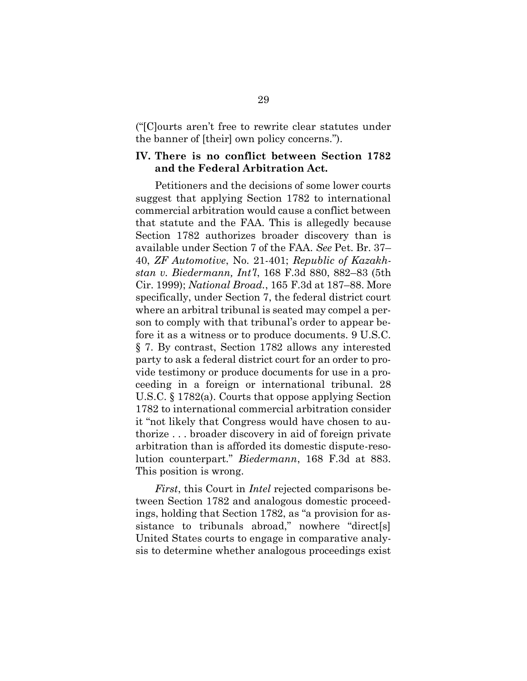("[C]ourts aren't free to rewrite clear statutes under the banner of [their] own policy concerns.").

#### **IV. There is no conflict between Section 1782 and the Federal Arbitration Act.**

Petitioners and the decisions of some lower courts suggest that applying Section 1782 to international commercial arbitration would cause a conflict between that statute and the FAA. This is allegedly because Section 1782 authorizes broader discovery than is available under Section 7 of the FAA. *See* Pet. Br. 37– 40, *ZF Automotive*, No. 21-401; *Republic of Kazakhstan v. Biedermann, Int'l*, 168 F.3d 880, 882–83 (5th Cir. 1999); *National Broad.*, 165 F.3d at 187–88. More specifically, under Section 7, the federal district court where an arbitral tribunal is seated may compel a person to comply with that tribunal's order to appear before it as a witness or to produce documents. 9 U.S.C. § 7. By contrast, Section 1782 allows any interested party to ask a federal district court for an order to provide testimony or produce documents for use in a proceeding in a foreign or international tribunal. 28 U.S.C. § 1782(a). Courts that oppose applying Section 1782 to international commercial arbitration consider it "not likely that Congress would have chosen to authorize . . . broader discovery in aid of foreign private arbitration than is afforded its domestic dispute-resolution counterpart." *Biedermann*, 168 F.3d at 883. This position is wrong.

*First*, this Court in *Intel* rejected comparisons between Section 1782 and analogous domestic proceedings, holding that Section 1782, as "a provision for assistance to tribunals abroad," nowhere "direct[s] United States courts to engage in comparative analysis to determine whether analogous proceedings exist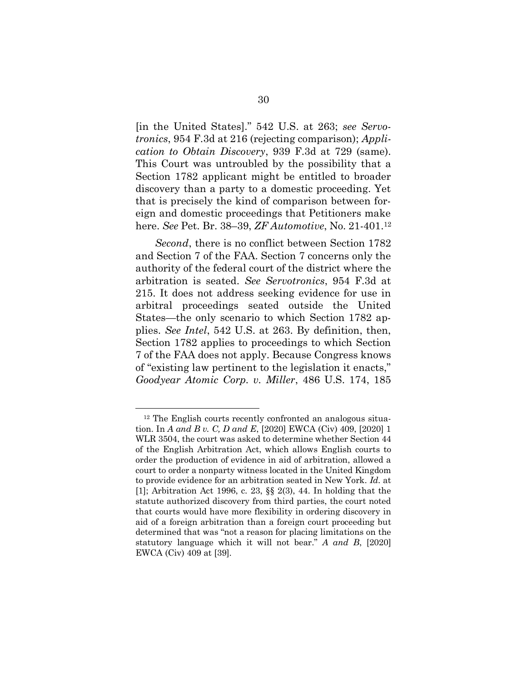[in the United States]." 542 U.S. at 263; *see Servotronics*, 954 F.3d at 216 (rejecting comparison); *Application to Obtain Discovery*, 939 F.3d at 729 (same). This Court was untroubled by the possibility that a Section 1782 applicant might be entitled to broader discovery than a party to a domestic proceeding. Yet that is precisely the kind of comparison between foreign and domestic proceedings that Petitioners make here. *See* Pet. Br. 38–39, *ZF Automotive*, No. 21-401.<sup>12</sup>

*Second*, there is no conflict between Section 1782 and Section 7 of the FAA. Section 7 concerns only the authority of the federal court of the district where the arbitration is seated. *See Servotronics*, 954 F.3d at 215. It does not address seeking evidence for use in arbitral proceedings seated outside the United States—the only scenario to which Section 1782 applies. *See Intel*, 542 U.S. at 263. By definition, then, Section 1782 applies to proceedings to which Section 7 of the FAA does not apply. Because Congress knows of "existing law pertinent to the legislation it enacts," *Goodyear Atomic Corp. v. Miller*, 486 U.S. 174, 185

<sup>12</sup> The English courts recently confronted an analogous situation. In *A and B v. C, D and E*, [2020] EWCA (Civ) 409, [2020] 1 WLR 3504, the court was asked to determine whether Section 44 of the English Arbitration Act, which allows English courts to order the production of evidence in aid of arbitration, allowed a court to order a nonparty witness located in the United Kingdom to provide evidence for an arbitration seated in New York. *Id.* at [1]; Arbitration Act 1996, c. 23, §§ 2(3), 44. In holding that the statute authorized discovery from third parties, the court noted that courts would have more flexibility in ordering discovery in aid of a foreign arbitration than a foreign court proceeding but determined that was "not a reason for placing limitations on the statutory language which it will not bear." *A and B*, [2020] EWCA (Civ) 409 at [39].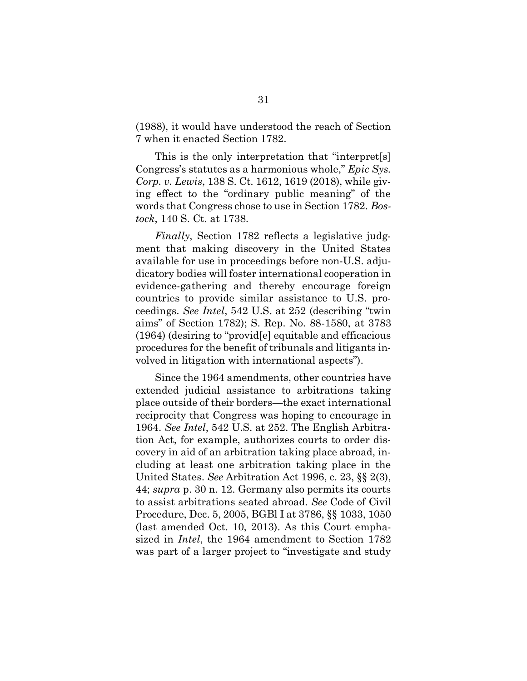(1988), it would have understood the reach of Section 7 when it enacted Section 1782.

This is the only interpretation that "interpret[s] Congress's statutes as a harmonious whole," *Epic Sys. Corp. v. Lewis*, 138 S. Ct. 1612, 1619 (2018), while giving effect to the "ordinary public meaning" of the words that Congress chose to use in Section 1782. *Bostock*, 140 S. Ct. at 1738.

*Finally*, Section 1782 reflects a legislative judgment that making discovery in the United States available for use in proceedings before non-U.S. adjudicatory bodies will foster international cooperation in evidence-gathering and thereby encourage foreign countries to provide similar assistance to U.S. proceedings. *See Intel*, 542 U.S. at 252 (describing "twin aims" of Section 1782); S. Rep. No. 88-1580, at 3783 (1964) (desiring to "provid[e] equitable and efficacious procedures for the benefit of tribunals and litigants involved in litigation with international aspects").

Since the 1964 amendments, other countries have extended judicial assistance to arbitrations taking place outside of their borders—the exact international reciprocity that Congress was hoping to encourage in 1964. *See Intel*, 542 U.S. at 252. The English Arbitration Act, for example, authorizes courts to order discovery in aid of an arbitration taking place abroad, including at least one arbitration taking place in the United States. *See* Arbitration Act 1996, c. 23, §§ 2(3), 44; *supra* p. 30 n. 12. Germany also permits its courts to assist arbitrations seated abroad. *See* Code of Civil Procedure, Dec. 5, 2005, BGBl I at 3786, §§ 1033, 1050 (last amended Oct. 10, 2013). As this Court emphasized in *Intel*, the 1964 amendment to Section 1782 was part of a larger project to "investigate and study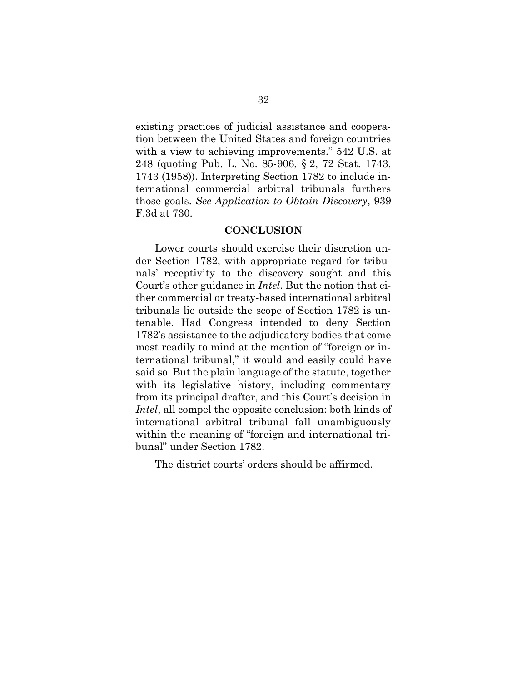existing practices of judicial assistance and cooperation between the United States and foreign countries with a view to achieving improvements." 542 U.S. at 248 (quoting Pub. L. No. 85-906, § 2, 72 Stat. 1743, 1743 (1958)). Interpreting Section 1782 to include international commercial arbitral tribunals furthers those goals. *See Application to Obtain Discovery*, 939 F.3d at 730.

#### **CONCLUSION**

Lower courts should exercise their discretion under Section 1782, with appropriate regard for tribunals' receptivity to the discovery sought and this Court's other guidance in *Intel*. But the notion that either commercial or treaty-based international arbitral tribunals lie outside the scope of Section 1782 is untenable. Had Congress intended to deny Section 1782's assistance to the adjudicatory bodies that come most readily to mind at the mention of "foreign or international tribunal," it would and easily could have said so. But the plain language of the statute, together with its legislative history, including commentary from its principal drafter, and this Court's decision in *Intel*, all compel the opposite conclusion: both kinds of international arbitral tribunal fall unambiguously within the meaning of "foreign and international tribunal" under Section 1782.

The district courts' orders should be affirmed.